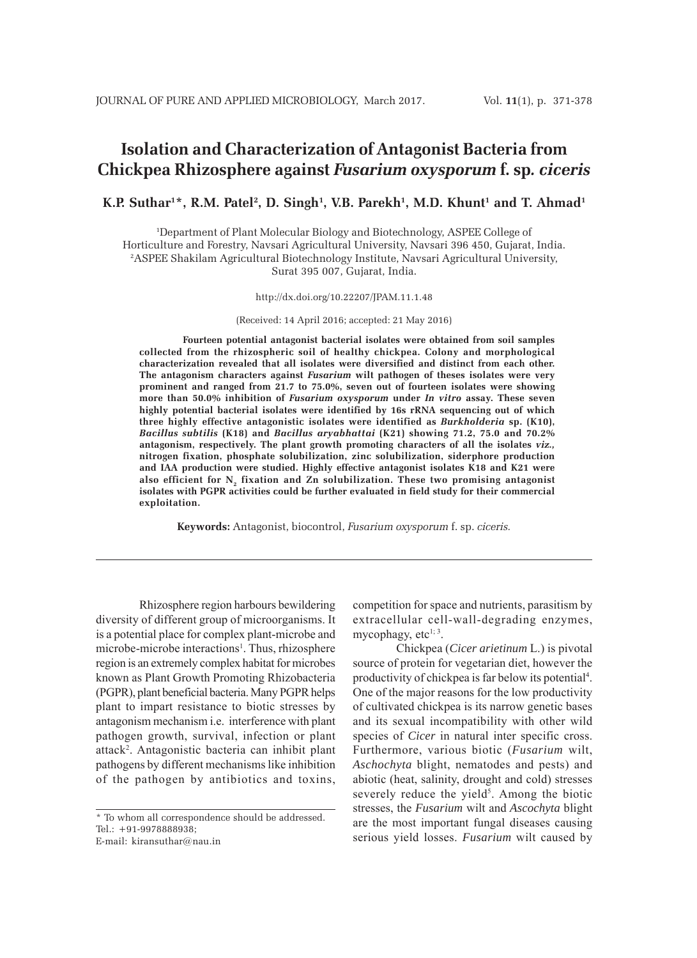# **Isolation and Characterization of Antagonist Bacteria from Chickpea Rhizosphere against** *Fusarium oxysporum* **f. sp***. ciceris*

## $K.P.$  Suthar<sup>1\*</sup>, R.M. Patel<sup>2</sup>, D. Singh<sup>1</sup>, V.B. Parekh<sup>1</sup>, M.D. Khunt<sup>1</sup> and T. Ahmad<sup>1</sup>

1 Department of Plant Molecular Biology and Biotechnology, ASPEE College of Horticulture and Forestry, Navsari Agricultural University, Navsari 396 450, Gujarat, India. 2 ASPEE Shakilam Agricultural Biotechnology Institute, Navsari Agricultural University, Surat 395 007, Gujarat, India.

http://dx.doi.org/10.22207/JPAM.11.1.48

(Received: 14 April 2016; accepted: 21 May 2016)

**Fourteen potential antagonist bacterial isolates were obtained from soil samples collected from the rhizospheric soil of healthy chickpea. Colony and morphological characterization revealed that all isolates were diversified and distinct from each other. The antagonism characters against** *Fusarium* **wilt pathogen of theses isolates were very prominent and ranged from 21.7 to 75.0%, seven out of fourteen isolates were showing more than 50.0% inhibition of** *Fusarium oxysporum* **under** *In vitro* **assay. These seven highly potential bacterial isolates were identified by 16s rRNA sequencing out of which three highly effective antagonistic isolates were identified as** *Burkholderia* **sp. (K10),** *Bacillus subtilis* **(K18) and** *Bacillus aryabhattai* **(K21) showing 71.2, 75.0 and 70.2% antagonism, respectively. The plant growth promoting characters of all the isolates** *viz.,* **nitrogen fixation, phosphate solubilization, zinc solubilization, siderphore production and IAA production were studied. Highly effective antagonist isolates K18 and K21 were** also efficient for N<sub>2</sub> fixation and Zn solubilization. These two promising antagonist **isolates with PGPR activities could be further evaluated in field study for their commercial exploitation.**

**Keywords:** Antagonist, biocontrol, *Fusarium oxysporum* f. sp. *ciceris.*

Rhizosphere region harbours bewildering diversity of different group of microorganisms. It is a potential place for complex plant-microbe and microbe-microbe interactions<sup>1</sup>. Thus, rhizosphere region is an extremely complex habitat for microbes known as Plant Growth Promoting Rhizobacteria (PGPR), plant beneficial bacteria. Many PGPR helps plant to impart resistance to biotic stresses by antagonism mechanism i.e. interference with plant pathogen growth, survival, infection or plant attack2 . Antagonistic bacteria can inhibit plant pathogens by different mechanisms like inhibition of the pathogen by antibiotics and toxins,

\* To whom all correspondence should be addressed. Tel.: +91-9978888938;

E-mail: kiransuthar@nau.in

competition for space and nutrients, parasitism by extracellular cell-wall-degrading enzymes, mycophagy, etc<sup>1; 3</sup>.

Chickpea (*Cicer arietinum* L.) is pivotal source of protein for vegetarian diet, however the productivity of chickpea is far below its potential<sup>4</sup>. One of the major reasons for the low productivity of cultivated chickpea is its narrow genetic bases and its sexual incompatibility with other wild species of *Cicer* in natural inter specific cross. Furthermore, various biotic (*Fusarium* wilt, *Aschochyta* blight, nematodes and pests) and abiotic (heat, salinity, drought and cold) stresses severely reduce the yield<sup>5</sup>. Among the biotic stresses, the *Fusarium* wilt and *Ascochyta* blight are the most important fungal diseases causing serious yield losses. *Fusarium* wilt caused by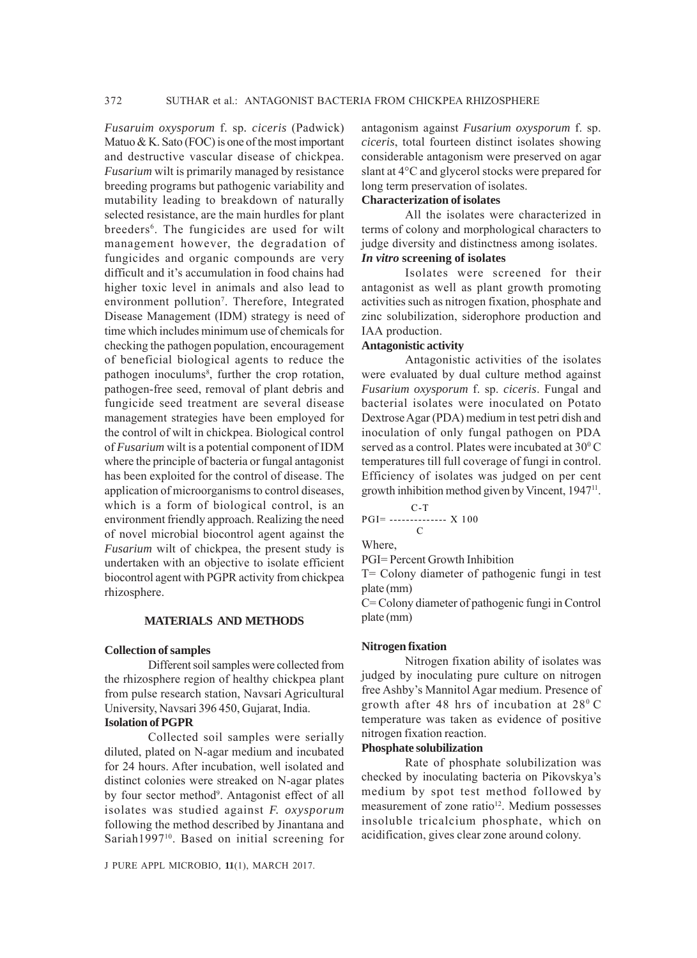*Fusaruim oxysporum* f. sp*. ciceris* (Padwick) Matuo  $&$  K. Sato (FOC) is one of the most important and destructive vascular disease of chickpea. *Fusarium* wilt is primarily managed by resistance breeding programs but pathogenic variability and mutability leading to breakdown of naturally selected resistance, are the main hurdles for plant breeders<sup>6</sup>. The fungicides are used for wilt management however, the degradation of fungicides and organic compounds are very difficult and it's accumulation in food chains had higher toxic level in animals and also lead to environment pollution<sup>7</sup>. Therefore, Integrated Disease Management (IDM) strategy is need of time which includes minimum use of chemicals for checking the pathogen population, encouragement of beneficial biological agents to reduce the pathogen inoculums<sup>8</sup>, further the crop rotation, pathogen-free seed, removal of plant debris and fungicide seed treatment are several disease management strategies have been employed for the control of wilt in chickpea. Biological control of *Fusarium* wilt is a potential component of IDM where the principle of bacteria or fungal antagonist has been exploited for the control of disease. The application of microorganisms to control diseases, which is a form of biological control, is an environment friendly approach. Realizing the need of novel microbial biocontrol agent against the *Fusarium* wilt of chickpea, the present study is undertaken with an objective to isolate efficient biocontrol agent with PGPR activity from chickpea rhizosphere.

## **MATERIALS AND METHODS**

#### **Collection of samples**

Different soil samples were collected from the rhizosphere region of healthy chickpea plant from pulse research station, Navsari Agricultural University, Navsari 396 450, Gujarat, India.

## **Isolation of PGPR**

Collected soil samples were serially diluted, plated on N-agar medium and incubated for 24 hours. After incubation, well isolated and distinct colonies were streaked on N-agar plates by four sector method<sup>9</sup>. Antagonist effect of all isolates was studied against *F. oxysporum* following the method described by Jinantana and Sariah1997<sup>10</sup>. Based on initial screening for

J PURE APPL MICROBIO*,* **11**(1), MARCH 2017.

antagonism against *Fusarium oxysporum* f. sp. *ciceris*, total fourteen distinct isolates showing considerable antagonism were preserved on agar slant at 4°C and glycerol stocks were prepared for long term preservation of isolates.

## **Characterization of isolates**

All the isolates were characterized in terms of colony and morphological characters to judge diversity and distinctness among isolates. *In vitro* **screening of isolates**

Isolates were screened for their antagonist as well as plant growth promoting activities such as nitrogen fixation, phosphate and zinc solubilization, siderophore production and IAA production.

### **Antagonistic activity**

Antagonistic activities of the isolates were evaluated by dual culture method against *Fusarium oxysporum* f. sp. *ciceris*. Fungal and bacterial isolates were inoculated on Potato Dextrose Agar (PDA) medium in test petri dish and inoculation of only fungal pathogen on PDA served as a control. Plates were incubated at 30°C temperatures till full coverage of fungi in control. Efficiency of isolates was judged on per cent growth inhibition method given by Vincent, 194711.

$$
PGI = \begin{array}{c} C-T \\ C \end{array} \times 100
$$

Where,

PGI= Percent Growth Inhibition

T= Colony diameter of pathogenic fungi in test plate (mm)

C= Colony diameter of pathogenic fungi in Control plate (mm)

#### **Nitrogen fixation**

Nitrogen fixation ability of isolates was judged by inoculating pure culture on nitrogen free Ashby's Mannitol Agar medium. Presence of growth after 48 hrs of incubation at  $28^{\circ}$  C temperature was taken as evidence of positive nitrogen fixation reaction.

#### **Phosphate solubilization**

Rate of phosphate solubilization was checked by inoculating bacteria on Pikovskya's medium by spot test method followed by measurement of zone ratio<sup>12</sup>. Medium possesses insoluble tricalcium phosphate, which on acidification, gives clear zone around colony.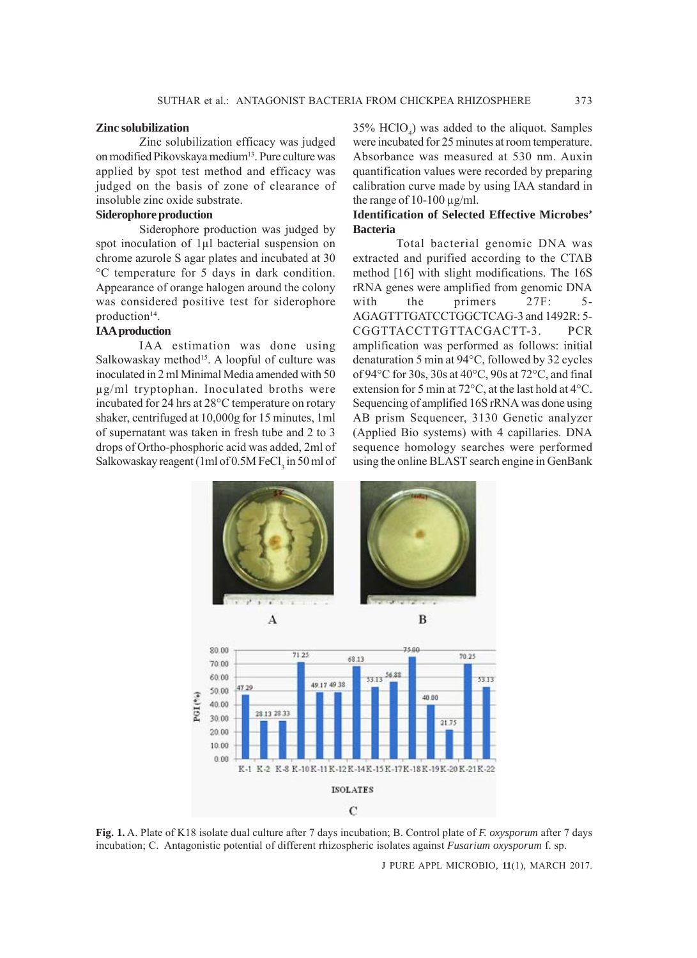#### **Zinc solubilization**

Zinc solubilization efficacy was judged on modified Pikovskaya medium<sup>13</sup>. Pure culture was applied by spot test method and efficacy was judged on the basis of zone of clearance of insoluble zinc oxide substrate.

## **Siderophore production**

Siderophore production was judged by spot inoculation of 1μl bacterial suspension on chrome azurole S agar plates and incubated at 30 °C temperature for 5 days in dark condition. Appearance of orange halogen around the colony was considered positive test for siderophore production<sup>14</sup>.

## **IAA production**

IAA estimation was done using Salkowaskay method<sup>15</sup>. A loopful of culture was inoculated in 2 ml Minimal Media amended with 50 μg/ml tryptophan. Inoculated broths were incubated for 24 hrs at 28°C temperature on rotary shaker, centrifuged at 10,000g for 15 minutes, 1ml of supernatant was taken in fresh tube and 2 to 3 drops of Ortho-phosphoric acid was added, 2ml of Salkowaskay reagent (1ml of 0.5M FeCl<sub>3</sub> in 50 ml of

 $35\%$  HClO<sub>4</sub>) was added to the aliquot. Samples were incubated for 25 minutes at room temperature. Absorbance was measured at 530 nm. Auxin quantification values were recorded by preparing calibration curve made by using IAA standard in the range of  $10-100 \mu g/ml$ .

## **Identification of Selected Effective Microbes' Bacteria**

Total bacterial genomic DNA was extracted and purified according to the CTAB method [16] with slight modifications. The 16S rRNA genes were amplified from genomic DNA with the primers 27F: 5-AGAGTTTGATCCTGGCTCAG-3 and 1492R: 5- CGGTTACCTTGTTACGACTT-3. PCR amplification was performed as follows: initial denaturation 5 min at 94°C, followed by 32 cycles of 94°C for 30s, 30s at 40°C, 90s at 72°C, and final extension for 5 min at 72°C, at the last hold at 4°C. Sequencing of amplified 16S rRNA was done using AB prism Sequencer, 3130 Genetic analyzer (Applied Bio systems) with 4 capillaries. DNA sequence homology searches were performed using the online BLAST search engine in GenBank



**Fig. 1.** A. Plate of K18 isolate dual culture after 7 days incubation; B. Control plate of *F. oxysporum* after 7 days incubation; C. Antagonistic potential of different rhizospheric isolates against *Fusarium oxysporum* f. sp.

J PURE APPL MICROBIO*,* **11**(1), MARCH 2017.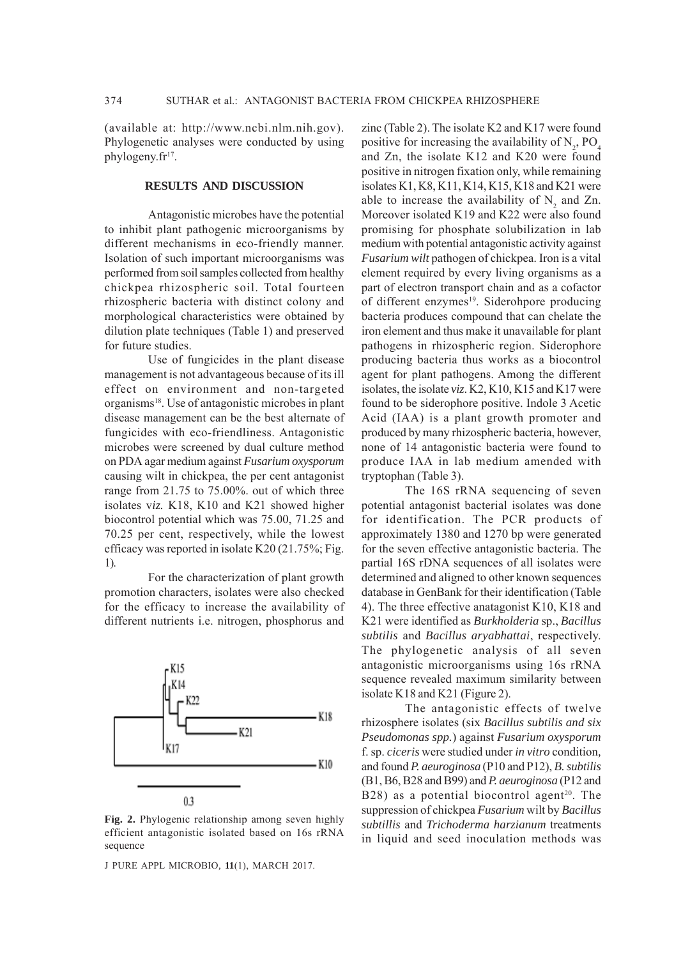(available at: http://www.ncbi.nlm.nih.gov). Phylogenetic analyses were conducted by using phylogeny. $fr<sup>17</sup>$ .

### **RESULTS AND DISCUSSION**

Antagonistic microbes have the potential to inhibit plant pathogenic microorganisms by different mechanisms in eco-friendly manner. Isolation of such important microorganisms was performed from soil samples collected from healthy chickpea rhizospheric soil. Total fourteen rhizospheric bacteria with distinct colony and morphological characteristics were obtained by dilution plate techniques (Table 1) and preserved for future studies.

Use of fungicides in the plant disease management is not advantageous because of its ill effect on environment and non-targeted organisms18. Use of antagonistic microbes in plant disease management can be the best alternate of fungicides with eco-friendliness. Antagonistic microbes were screened by dual culture method on PDA agar medium against *Fusarium oxysporum* causing wilt in chickpea, the per cent antagonist range from 21.75 to 75.00%. out of which three isolates v*iz.* K18, K10 and K21 showed higher biocontrol potential which was 75.00, 71.25 and 70.25 per cent, respectively, while the lowest efficacy was reported in isolate K20 (21.75%; Fig. 1).

For the characterization of plant growth promotion characters, isolates were also checked for the efficacy to increase the availability of different nutrients i.e. nitrogen, phosphorus and



**Fig. 2.** Phylogenic relationship among seven highly efficient antagonistic isolated based on 16s rRNA sequence

J PURE APPL MICROBIO*,* **11**(1), MARCH 2017.

zinc (Table 2). The isolate K2 and K17 were found positive for increasing the availability of  $N_2$ , PO<sub>4</sub> and Zn, the isolate K12 and K20 were found positive in nitrogen fixation only, while remaining isolates K1, K8, K11, K14, K15, K18 and K21 were able to increase the availability of  $N_2$  and Zn. Moreover isolated K19 and K22 were also found promising for phosphate solubilization in lab medium with potential antagonistic activity against *Fusarium wilt* pathogen of chickpea. Iron is a vital element required by every living organisms as a part of electron transport chain and as a cofactor of different enzymes<sup>19</sup>. Siderohpore producing bacteria produces compound that can chelate the iron element and thus make it unavailable for plant pathogens in rhizospheric region. Siderophore producing bacteria thus works as a biocontrol agent for plant pathogens. Among the different isolates, the isolate *viz*. K2, K10, K15 and K17 were found to be siderophore positive. Indole 3 Acetic Acid (IAA) is a plant growth promoter and produced by many rhizospheric bacteria, however, none of 14 antagonistic bacteria were found to produce IAA in lab medium amended with tryptophan (Table 3).

The 16S rRNA sequencing of seven potential antagonist bacterial isolates was done for identification. The PCR products of approximately 1380 and 1270 bp were generated for the seven effective antagonistic bacteria. The partial 16S rDNA sequences of all isolates were determined and aligned to other known sequences database in GenBank for their identification (Table 4). The three effective anatagonist K10, K18 and K21 were identified as *Burkholderia* sp., *Bacillus subtilis* and *Bacillus aryabhattai*, respectively. The phylogenetic analysis of all seven antagonistic microorganisms using 16s rRNA sequence revealed maximum similarity between isolate K18 and K21 (Figure 2).

The antagonistic effects of twelve rhizosphere isolates (six *Bacillus subtilis and six Pseudomonas spp.*) against *Fusarium oxysporum* f. sp. *ciceris* were studied under *in vitro* condition*,* and found *P. aeuroginosa* (P10 and P12), *B. subtilis* (B1, B6, B28 and B99) and *P. aeuroginosa* (P12 and  $B28$ ) as a potential biocontrol agent<sup>20</sup>. The suppression of chickpea *Fusarium* wilt by *Bacillus subtillis* and *Trichoderma harzianum* treatments in liquid and seed inoculation methods was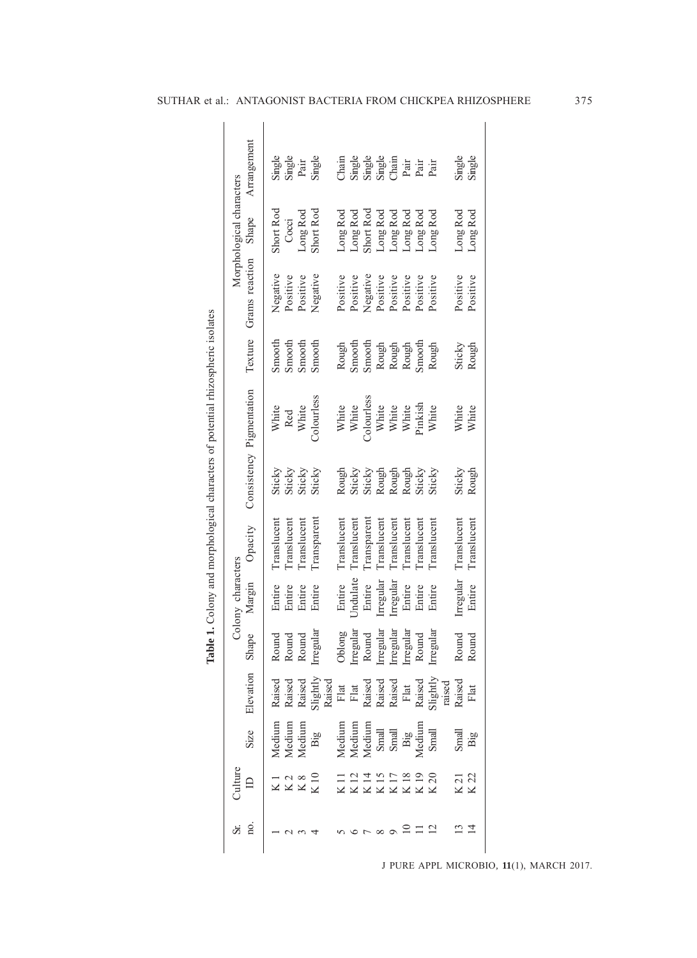| ł                                                                              |
|--------------------------------------------------------------------------------|
|                                                                                |
|                                                                                |
|                                                                                |
|                                                                                |
|                                                                                |
| į                                                                              |
| į                                                                              |
|                                                                                |
| ı                                                                              |
|                                                                                |
|                                                                                |
|                                                                                |
|                                                                                |
| ١                                                                              |
|                                                                                |
|                                                                                |
|                                                                                |
|                                                                                |
|                                                                                |
|                                                                                |
| lows and through of one of or at the state interest throughout one into the lo |
| ;                                                                              |
| .<br>)                                                                         |
| Ì                                                                              |
| :<br>:<br>:                                                                    |
|                                                                                |
| T<br>E                                                                         |
|                                                                                |

|                                                                                 |                          | Arrangement              |             | Single<br>Single<br>Pair<br>Single |                  |                                        | $\frac{1}{2}$ |                 |                   | Single<br>Single<br>Single<br>Chain                                   |             | hai<br>Pai<br>Pai                 |             |                                                                               |              | Single<br>Single |
|---------------------------------------------------------------------------------|--------------------------|--------------------------|-------------|------------------------------------|------------------|----------------------------------------|---------------|-----------------|-------------------|-----------------------------------------------------------------------|-------------|-----------------------------------|-------------|-------------------------------------------------------------------------------|--------------|------------------|
|                                                                                 | Morphological characters | Shape                    | Short Rod   | Cocci                              | Long Rod         | Short Rod                              | Long Rod      | Long Rod        | Short Rod         | Long Rod                                                              | Long Rod    | Long Rod                          | Long Rod    | Long Rod                                                                      | Long Rod     | Long Rod         |
| Table 1. Colony and morphological characters of potential rhizospheric isolates |                          | Grams reaction           | Negative    | Positive                           | Positive         | Negative                               | Positive      | Positive        | Negative          | Positive                                                              | Positive    | Positive                          | Positive    | Positive                                                                      | Positive     | Positive         |
|                                                                                 |                          | Texture                  | Smooth      | Smooth                             | Smooth           | Smooth                                 | Rough         | Smooth          | Smooth            |                                                                       |             | Rough<br>Rough<br>Rough<br>Smooth |             | Rough                                                                         | Sticky       | Rough            |
|                                                                                 |                          | Consistency Pigmentation | White       | Red<br>White                       |                  | <b>Colourless</b>                      |               | White<br>White  | <b>Colourless</b> | White<br>White<br>White<br>White<br>Pinkish                           |             |                                   |             | White                                                                         | White        | White            |
|                                                                                 |                          |                          | Sticky      | Sticky                             | Sticky           | Sticky                                 | Rough         | Sticky          | Sticky            | Rough<br>Rough<br>Rough<br>Sticky                                     |             |                                   |             | Sticky                                                                        | Sticky       | Rough            |
|                                                                                 |                          | Opacity                  | Translucent | Translucent                        | Translucent      | <b>Transparen</b>                      | Translucent   | Translucen      | Transparent       | Translucent                                                           | Translucent | Translucent                       | Translucent | Translucen                                                                    | Translucent  | Translucent      |
|                                                                                 | Colony characters        | Margin                   | Entire      | Entire                             | Entire           | Entire                                 | Entire        | <b>Jndulate</b> | Entire            | Irregular                                                             | Irregular   | Entire                            | Entire      | Entire                                                                        | Irregular    | Entire           |
|                                                                                 |                          | Shape                    | Round       | Round                              | Round            | Irregula                               | Oblong        | Irregular       | Round             | Irregular                                                             | Irregular   | Irregular                         | Round       | Irregular                                                                     | Round        | Round            |
|                                                                                 |                          | Elevation                | ᇰ<br>Raise  |                                    | ヮ                | ⊵<br>Raise<br>Raise<br>Slight<br>Raise | ${\rm Flat}$  |                 |                   | P                                                                     | ರ           |                                   |             | ≥ –<br>Flat<br>Raise<br>Raise<br>Raise<br>Raise<br>Raise<br>Slightl<br>raised | Raise        | $_{\rm Flat}$    |
|                                                                                 |                          | Size                     | Medium      | Medium                             | Medium           | Big                                    | Medium        | Medium          | Medium            | Small<br>Small                                                        |             | Big                               | Medium      | Small                                                                         | Small<br>Big |                  |
|                                                                                 |                          |                          |             |                                    | $\frac{K8}{K10}$ |                                        |               |                 |                   | K K K K K K K K<br>1 1 1 1 1 1 1 2 1 2 1 9 0<br>1 1 1 1 1 1 2 1 9 0 0 |             |                                   |             |                                                                               | K 21<br>K 22 |                  |
|                                                                                 |                          |                          |             |                                    |                  |                                        |               |                 |                   | $\infty$                                                              | $\sigma$    |                                   |             |                                                                               |              |                  |

 $\overline{\phantom{a}}$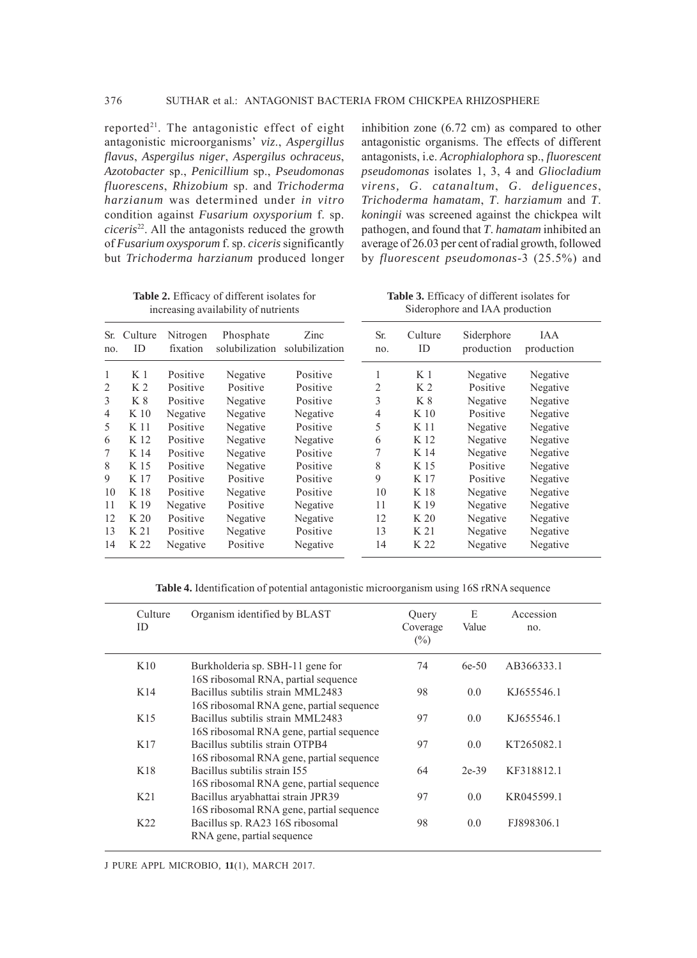reported<sup>21</sup>. The antagonistic effect of eight antagonistic microorganisms' *viz*., *Aspergillus flavus*, *Aspergilus niger*, *Aspergilus ochraceus*, *Azotobacter* sp., *Penicillium* sp., *Pseudomonas fluorescens*, *Rhizobium* sp. and *Trichoderma harzianum* was determined under *in vitro* condition against *Fusarium oxysporium* f. sp. *ciceris*22. All the antagonists reduced the growth of *Fusarium oxysporum* f. sp. *ciceris* significantly but *Trichoderma harzianum* produced longer

inhibition zone (6.72 cm) as compared to other antagonistic organisms. The effects of different antagonists, i.e. *Acrophialophora* sp., *fluorescent pseudomonas* isolates 1, 3, 4 and *Gliocladium virens, G*. *catanaltum*, *G*. *deliguences*, *Trichoderma hamatam*, *T*. *harziamum* and *T*. *koningii* was screened against the chickpea wilt pathogen, and found that *T*. *hamatam* inhibited an average of 26.03 per cent of radial growth, followed by *fluorescent pseudomonas*-3 (25.5%) and

**Table 2.** Efficacy of different isolates for increasing availability of nutrients

**Table 3.** Efficacy of different isolates for Siderophore and IAA production

| Sr.<br>no.     | Culture<br>ID   | Nitrogen<br>fixation | Phosphate | Zinc<br>solubilization solubilization | Sr.<br>no. | Culture<br>ID  | Siderphore<br>production | IAA<br>production |  |
|----------------|-----------------|----------------------|-----------|---------------------------------------|------------|----------------|--------------------------|-------------------|--|
| 1              | K <sub>1</sub>  | Positive             | Negative  | Positive                              | 1          | K <sub>1</sub> | Negative                 | Negative          |  |
| 2              | K <sub>2</sub>  | Positive             | Positive  | Positive                              | 2          | K <sub>2</sub> | Positive                 | Negative          |  |
| 3              | K 8             | Positive             | Negative  | Positive                              | 3          | K 8            | Negative                 | Negative          |  |
| $\overline{4}$ | K 10            | Negative             | Negative  | Negative                              | 4          | K 10           | Positive                 | Negative          |  |
| 5              | K 11            | Positive             | Negative  | Positive                              | 5          | K 11           | Negative                 | Negative          |  |
| 6              | K 12            | Positive             | Negative  | Negative                              | 6          | K 12           | Negative                 | Negative          |  |
| 7              | K 14            | Positive             | Negative  | Positive                              | 7          | K 14           | Negative                 | Negative          |  |
| 8              | K 15            | Positive             | Negative  | Positive                              | 8          | K 15           | Positive                 | Negative          |  |
| 9              | K 17            | Positive             | Positive  | Positive                              | 9          | K 17           | Positive                 | Negative          |  |
| 10             | K 18            | Positive             | Negative  | Positive                              | 10         | K 18           | Negative                 | Negative          |  |
| 11             | K 19            | Negative             | Positive  | Negative                              | 11         | K 19           | Negative                 | Negative          |  |
| 12             | K <sub>20</sub> | Positive             | Negative  | Negative                              | 12         | K 20           | Negative                 | Negative          |  |
| 13             | K 21            | Positive             | Negative  | Positive                              | 13         | K 21           | Negative                 | Negative          |  |
| 14             | K 22            | Negative             | Positive  | Negative                              | 14         | K 22           | Negative                 | Negative          |  |

**Table 4.** Identification of potential antagonistic microorganism using 16S rRNA sequence

| K10<br>74<br>Burkholderia sp. SBH-11 gene for<br>$6e-50$<br>AB366333.1<br>16S ribosomal RNA, partial sequence<br>K14<br>Bacillus subtilis strain MML2483<br>98<br>0.0<br>KJ655546.1<br>16S ribosomal RNA gene, partial sequence<br>K15<br>Bacillus subtilis strain MML2483<br>97<br>0.0<br>KJ655546.1<br>16S ribosomal RNA gene, partial sequence<br>Bacillus subtilis strain OTPB4<br>K17<br>97<br>0.0<br>KT265082.1<br>16S ribosomal RNA gene, partial sequence<br>K18<br>KF318812.1<br>Bacillus subtilis strain 155<br>64<br>$2e-39$<br>16S ribosomal RNA gene, partial sequence<br>K <sub>21</sub><br>Bacillus aryabhattai strain JPR39<br>97<br>0.0<br>KR045599.1<br>16S ribosomal RNA gene, partial sequence<br>K22<br>Bacillus sp. RA23 16S ribosomal<br>98<br>0.0<br>FJ898306.1<br>RNA gene, partial sequence | Culture<br>ID | Organism identified by BLAST | Query<br>Coverage<br>$(\%)$ | E<br>Value | Accession<br>no. |  |
|-----------------------------------------------------------------------------------------------------------------------------------------------------------------------------------------------------------------------------------------------------------------------------------------------------------------------------------------------------------------------------------------------------------------------------------------------------------------------------------------------------------------------------------------------------------------------------------------------------------------------------------------------------------------------------------------------------------------------------------------------------------------------------------------------------------------------|---------------|------------------------------|-----------------------------|------------|------------------|--|
|                                                                                                                                                                                                                                                                                                                                                                                                                                                                                                                                                                                                                                                                                                                                                                                                                       |               |                              |                             |            |                  |  |
|                                                                                                                                                                                                                                                                                                                                                                                                                                                                                                                                                                                                                                                                                                                                                                                                                       |               |                              |                             |            |                  |  |
|                                                                                                                                                                                                                                                                                                                                                                                                                                                                                                                                                                                                                                                                                                                                                                                                                       |               |                              |                             |            |                  |  |
|                                                                                                                                                                                                                                                                                                                                                                                                                                                                                                                                                                                                                                                                                                                                                                                                                       |               |                              |                             |            |                  |  |
|                                                                                                                                                                                                                                                                                                                                                                                                                                                                                                                                                                                                                                                                                                                                                                                                                       |               |                              |                             |            |                  |  |
|                                                                                                                                                                                                                                                                                                                                                                                                                                                                                                                                                                                                                                                                                                                                                                                                                       |               |                              |                             |            |                  |  |
|                                                                                                                                                                                                                                                                                                                                                                                                                                                                                                                                                                                                                                                                                                                                                                                                                       |               |                              |                             |            |                  |  |

J PURE APPL MICROBIO*,* **11**(1), MARCH 2017.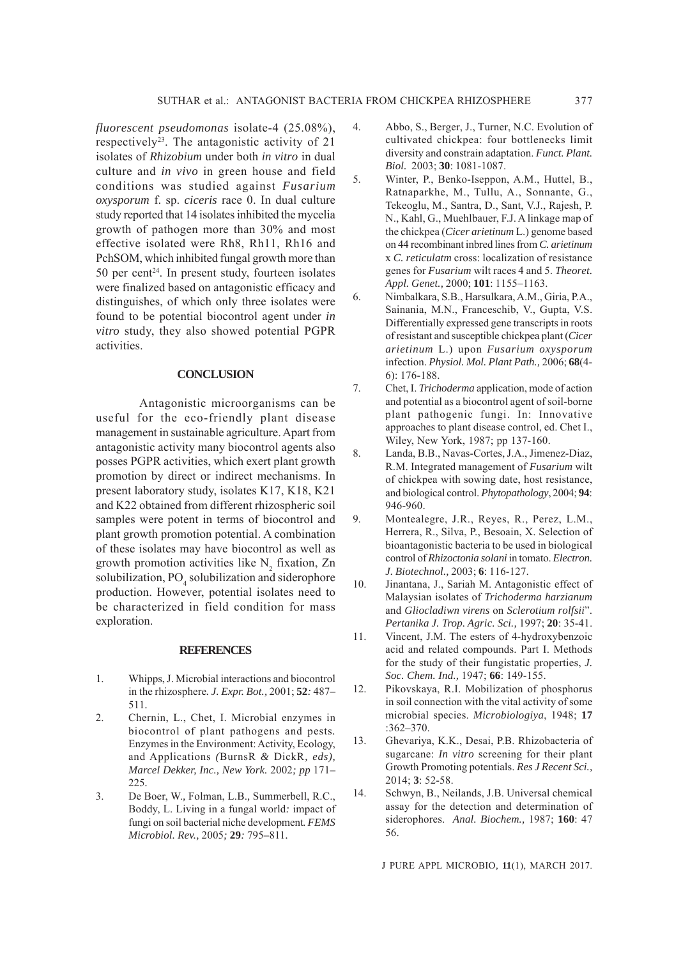*fluorescent pseudomonas* isolate-4 (25.08%), respectively<sup>23</sup>. The antagonistic activity of  $21$ isolates of *Rhizobium* under both *in vitro* in dual culture and *in vivo* in green house and field conditions was studied against *Fusarium oxysporum* f. sp. *ciceris* race 0. In dual culture study reported that 14 isolates inhibited the mycelia growth of pathogen more than 30% and most effective isolated were Rh8, Rh11, Rh16 and PchSOM, which inhibited fungal growth more than 50 per cent $24$ . In present study, fourteen isolates were finalized based on antagonistic efficacy and distinguishes, of which only three isolates were found to be potential biocontrol agent under *in vitro* study, they also showed potential PGPR activities.

#### **CONCLUSION**

Antagonistic microorganisms can be useful for the eco-friendly plant disease management in sustainable agriculture. Apart from antagonistic activity many biocontrol agents also posses PGPR activities, which exert plant growth promotion by direct or indirect mechanisms. In present laboratory study, isolates K17, K18, K21 and K22 obtained from different rhizospheric soil samples were potent in terms of biocontrol and plant growth promotion potential. A combination of these isolates may have biocontrol as well as growth promotion activities like  $N_2$  fixation, Zn solubilization, PO<sub>4</sub> solubilization and siderophore production. However, potential isolates need to be characterized in field condition for mass exploration.

#### **REFERENCES**

- 1. Whipps, J. Microbial interactions and biocontrol in the rhizosphere*. J. Expr. Bot.,* 2001; **52***:* 487*–* 511*.*
- 2. Chernin, L., Chet, I. Microbial enzymes in biocontrol of plant pathogens and pests*.* Enzymes in the Environment: Activity, Ecology, and Applications *(*BurnsR *&* DickR*, eds), Marcel Dekker, Inc., New York.* 2002*; pp* 171*–* 225*.*
- 3. De Boer, W.*,* Folman, L.B.*,* Summerbell, R.C., Boddy, L. Living in a fungal world*:* impact of fungi on soil bacterial niche development*. FEMS Microbiol. Rev.,* 2005*;* **29***:* 795*–*811*.*
- 4. Abbo, S., Berger, J., Turner, N.C. Evolution of cultivated chickpea: four bottlenecks limit diversity and constrain adaptation. *Funct. Plant. Biol.* 2003; **30**: 1081-1087.
- 5. Winter, P., Benko-Iseppon, A.M., Huttel, B., Ratnaparkhe, M., Tullu, A., Sonnante, G., Tekeoglu, M., Santra, D., Sant, V.J., Rajesh, P. N., Kahl, G., Muehlbauer, F.J. A linkage map of the chickpea (*Cicer arietinum* L.) genome based on 44 recombinant inbred lines from *C. arietinum* x *C. reticulatm* cross: localization of resistance genes for *Fusarium* wilt races 4 and 5. *Theoret. Appl. Genet.,* 2000; **101**: 1155–1163.
- 6. Nimbalkara, S.B., Harsulkara, A.M., Giria, P.A., Sainania, M.N., Franceschib, V., Gupta, V.S. Differentially expressed gene transcripts in roots of resistant and susceptible chickpea plant (*Cicer arietinum* L.) upon *Fusarium oxysporum* infection. *Physiol. Mol. Plant Path.,* 2006; **68**(4- 6): 176-188.
- 7. Chet, I. *Trichoderma* application, mode of action and potential as a biocontrol agent of soil-borne plant pathogenic fungi. In: Innovative approaches to plant disease control, ed. Chet I., Wiley, New York, 1987; pp 137-160.
- 8. Landa, B.B., Navas-Cortes, J.A., Jimenez-Diaz, R.M. Integrated management of *Fusarium* wilt of chickpea with sowing date, host resistance, and biological control. *Phytopathology*, 2004; **94**: 946-960.
- 9. Montealegre, J.R., Reyes, R., Perez, L.M., Herrera, R., Silva, P., Besoain, X. Selection of bioantagonistic bacteria to be used in biological control of *Rhizoctonia solani* in tomato. *Electron. J. Biotechnol.,* 2003; **6**: 116-127.
- 10. Jinantana, J., Sariah M. Antagonistic effect of Malaysian isolates of *Trichoderma harzianum* and *Gliocladiwn virens* on *Sclerotium rolfsii*". *Pertanika J. Trop. Agric. Sci.,* 1997; **20**: 35-41.
- 11. Vincent, J.M. The esters of 4-hydroxybenzoic acid and related compounds. Part I. Methods for the study of their fungistatic properties, *J. Soc. Chem. Ind.,* 1947; **66**: 149-155.
- 12. Pikovskaya, R.I. Mobilization of phosphorus in soil connection with the vital activity of some microbial species. *Microbiologiya*, 1948; **17** :362–370.
- 13. Ghevariya, K.K., Desai, P.B. Rhizobacteria of sugarcane: *In vitro* screening for their plant Growth Promoting potentials. *Res J Recent Sci.,* 2014; **3**: 52-58.
- 14. Schwyn, B., Neilands, J.B. Universal chemical assay for the detection and determination of siderophores. *Anal. Biochem.,* 1987; **160**: 47 56.

J PURE APPL MICROBIO*,* **11**(1), MARCH 2017.